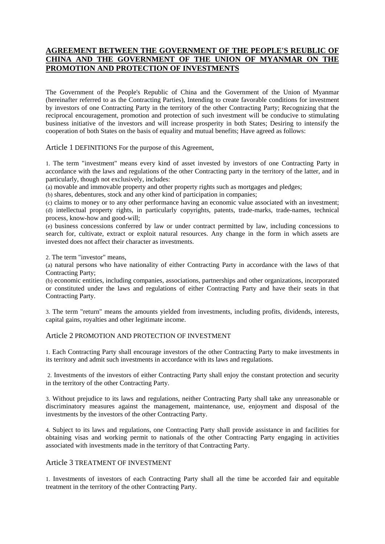# **AGREEMENT BETWEEN THE GOVERNMENT OF THE PEOPLE'S REUBLIC OF CHINA AND THE GOVERNMENT OF THE UNION OF MYANMAR ON THE PROMOTION AND PROTECTION OF INVESTMENTS**

The Government of the People's Republic of China and the Government of the Union of Myanmar (hereinafter referred to as the Contracting Parties), Intending to create favorable conditions for investment by investors of one Contracting Party in the territory of the other Contracting Party; Recognizing that the reciprocal encouragement, promotion and protection of such investment will be conducive to stimulating business initiative of the investors and will increase prosperity in both States; Desiring to intensify the cooperation of both States on the basis of equality and mutual benefits; Have agreed as follows:

Article 1 DEFINITIONS For the purpose of this Agreement,

1. The term "investment" means every kind of asset invested by investors of one Contracting Party in accordance with the laws and regulations of the other Contracting party in the territory of the latter, and in particularly, though not exclusively, includes:

(a) movable and immovable property and other property rights such as mortgages and pledges;

(b) shares, debentures, stock and any other kind of participation in companies;

(c) claims to money or to any other performance having an economic value associated with an investment; (d) intellectual property rights, in particularly copyrights, patents, trade-marks, trade-names, technical process, know-how and good-will;

(e) business concessions conferred by law or under contract permitted by law, including concessions to search for, cultivate, extract or exploit natural resources. Any change in the form in which assets are invested does not affect their character as investments.

2. The term "investor" means,

(a) natural persons who have nationality of either Contracting Party in accordance with the laws of that Contracting Party;

(b) economic entities, including companies, associations, partnerships and other organizations, incorporated or constituted under the laws and regulations of either Contracting Party and have their seats in that Contracting Party.

3. The term "return" means the amounts yielded from investments, including profits, dividends, interests, capital gains, royalties and other legitimate income.

## Article 2 PROMOTION AND PROTECTION OF INVESTMENT

1. Each Contracting Party shall encourage investors of the other Contracting Party to make investments in its territory and admit such investments in accordance with its laws and regulations.

2. Investments of the investors of either Contracting Party shall enjoy the constant protection and security in the territory of the other Contracting Party.

3. Without prejudice to its laws and regulations, neither Contracting Party shall take any unreasonable or discriminatory measures against the management, maintenance, use, enjoyment and disposal of the investments by the investors of the other Contracting Party.

4. Subject to its laws and regulations, one Contracting Party shall provide assistance in and facilities for obtaining visas and working permit to nationals of the other Contracting Party engaging in activities associated with investments made in the territory of that Contracting Party.

# Article 3 TREATMENT OF INVESTMENT

1. Investments of investors of each Contracting Party shall all the time be accorded fair and equitable treatment in the territory of the other Contracting Party.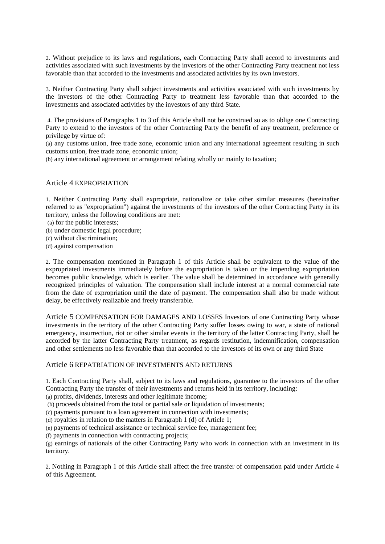2. Without prejudice to its laws and regulations, each Contracting Party shall accord to investments and activities associated with such investments by the investors of the other Contracting Party treatment not less favorable than that accorded to the investments and associated activities by its own investors.

3. Neither Contracting Party shall subject investments and activities associated with such investments by the investors of the other Contracting Party to treatment less favorable than that accorded to the investments and associated activities by the investors of any third State.

4. The provisions of Paragraphs 1 to 3 of this Article shall not be construed so as to oblige one Contracting Party to extend to the investors of the other Contracting Party the benefit of any treatment, preference or privilege by virtue of:

(a) any customs union, free trade zone, economic union and any international agreement resulting in such customs union, free trade zone, economic union;

(b) any international agreement or arrangement relating wholly or mainly to taxation;

# Article 4 EXPROPRIATION

1. Neither Contracting Party shall expropriate, nationalize or take other similar measures (hereinafter referred to as "expropriation") against the investments of the investors of the other Contracting Party in its territory, unless the following conditions are met:

- (a) for the public interests;
- (b) under domestic legal procedure;
- (c) without discrimination;
- (d) against compensation

2. The compensation mentioned in Paragraph 1 of this Article shall be equivalent to the value of the expropriated investments immediately before the expropriation is taken or the impending expropriation becomes public knowledge, which is earlier. The value shall be determined in accordance with generally recognized principles of valuation. The compensation shall include interest at a normal commercial rate from the date of expropriation until the date of payment. The compensation shall also be made without delay, be effectively realizable and freely transferable.

Article 5 COMPENSATION FOR DAMAGES AND LOSSES Investors of one Contracting Party whose investments in the territory of the other Contracting Party suffer losses owing to war, a state of national emergency, insurrection, riot or other similar events in the territory of the latter Contracting Party, shall be accorded by the latter Contracting Party treatment, as regards restitution, indemnification, compensation and other settlements no less favorable than that accorded to the investors of its own or any third State

#### Article 6 REPATRIATION OF INVESTMENTS AND RETURNS

1. Each Contracting Party shall, subject to its laws and regulations, guarantee to the investors of the other Contracting Party the transfer of their investments and returns held in its territory, including:

(a) profits, dividends, interests and other legitimate income;

(b) proceeds obtained from the total or partial sale or liquidation of investments;

(c) payments pursuant to a loan agreement in connection with investments;

(d) royalties in relation to the matters in Paragraph 1 (d) of Article 1;

(e) payments of technical assistance or technical service fee, management fee;

(f) payments in connection with contracting projects;

(g) earnings of nationals of the other Contracting Party who work in connection with an investment in its territory.

2. Nothing in Paragraph 1 of this Article shall affect the free transfer of compensation paid under Article 4 of this Agreement.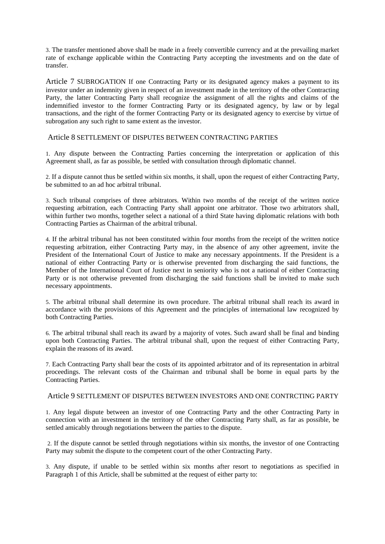3. The transfer mentioned above shall be made in a freely convertible currency and at the prevailing market rate of exchange applicable within the Contracting Party accepting the investments and on the date of transfer.

Article 7 SUBROGATION If one Contracting Party or its designated agency makes a payment to its investor under an indemnity given in respect of an investment made in the territory of the other Contracting Party, the latter Contracting Party shall recognize the assignment of all the rights and claims of the indemnified investor to the former Contracting Party or its designated agency, by law or by legal transactions, and the right of the former Contracting Party or its designated agency to exercise by virtue of subrogation any such right to same extent as the investor.

## Article 8 SETTLEMENT OF DISPUTES BETWEEN CONTRACTING PARTIES

1. Any dispute between the Contracting Parties concerning the interpretation or application of this Agreement shall, as far as possible, be settled with consultation through diplomatic channel.

2. If a dispute cannot thus be settled within six months, it shall, upon the request of either Contracting Party, be submitted to an ad hoc arbitral tribunal.

3. Such tribunal comprises of three arbitrators. Within two months of the receipt of the written notice requesting arbitration, each Contracting Party shall appoint one arbitrator. Those two arbitrators shall, within further two months, together select a national of a third State having diplomatic relations with both Contracting Parties as Chairman of the arbitral tribunal.

4. If the arbitral tribunal has not been constituted within four months from the receipt of the written notice requesting arbitration, either Contracting Party may, in the absence of any other agreement, invite the President of the International Court of Justice to make any necessary appointments. If the President is a national of either Contracting Party or is otherwise prevented from discharging the said functions, the Member of the International Court of Justice next in seniority who is not a national of either Contracting Party or is not otherwise prevented from discharging the said functions shall be invited to make such necessary appointments.

5. The arbitral tribunal shall determine its own procedure. The arbitral tribunal shall reach its award in accordance with the provisions of this Agreement and the principles of international law recognized by both Contracting Parties.

6. The arbitral tribunal shall reach its award by a majority of votes. Such award shall be final and binding upon both Contracting Parties. The arbitral tribunal shall, upon the request of either Contracting Party, explain the reasons of its award.

7. Each Contracting Party shall bear the costs of its appointed arbitrator and of its representation in arbitral proceedings. The relevant costs of the Chairman and tribunal shall be borne in equal parts by the Contracting Parties.

#### Article 9 SETTLEMENT OF DISPUTES BETWEEN INVESTORS AND ONE CONTRCTING PARTY

1. Any legal dispute between an investor of one Contracting Party and the other Contracting Party in connection with an investment in the territory of the other Contracting Party shall, as far as possible, be settled amicably through negotiations between the parties to the dispute.

2. If the dispute cannot be settled through negotiations within six months, the investor of one Contracting Party may submit the dispute to the competent court of the other Contracting Party.

3. Any dispute, if unable to be settled within six months after resort to negotiations as specified in Paragraph 1 of this Article, shall be submitted at the request of either party to: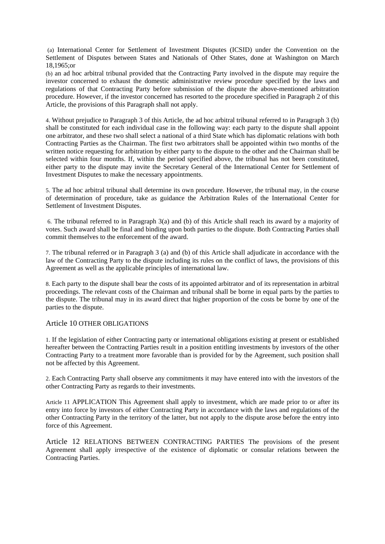(a) International Center for Settlement of Investment Disputes (ICSID) under the Convention on the Settlement of Disputes between States and Nationals of Other States, done at Washington on March 18,1965;or

(b) an ad hoc arbitral tribunal provided that the Contracting Party involved in the dispute may require the investor concerned to exhaust the domestic administrative review procedure specified by the laws and regulations of that Contracting Party before submission of the dispute the above-mentioned arbitration procedure. However, if the investor concerned has resorted to the procedure specified in Paragraph 2 of this Article, the provisions of this Paragraph shall not apply.

4. Without prejudice to Paragraph 3 of this Article, the ad hoc arbitral tribunal referred to in Paragraph 3 (b) shall be constituted for each individual case in the following way: each party to the dispute shall appoint one arbitrator, and these two shall select a national of a third State which has diplomatic relations with both Contracting Parties as the Chairman. The first two arbitrators shall be appointed within two months of the written notice requesting for arbitration by either party to the dispute to the other and the Chairman shall be selected within four months. If, within the period specified above, the tribunal has not been constituted, either party to the dispute may invite the Secretary General of the International Center for Settlement of Investment Disputes to make the necessary appointments.

5. The ad hoc arbitral tribunal shall determine its own procedure. However, the tribunal may, in the course of determination of procedure, take as guidance the Arbitration Rules of the International Center for Settlement of Investment Disputes.

6. The tribunal referred to in Paragraph 3(a) and (b) of this Article shall reach its award by a majority of votes. Such award shall be final and binding upon both parties to the dispute. Both Contracting Parties shall commit themselves to the enforcement of the award.

7. The tribunal referred or in Paragraph 3 (a) and (b) of this Article shall adjudicate in accordance with the law of the Contracting Party to the dispute including its rules on the conflict of laws, the provisions of this Agreement as well as the applicable principles of international law.

8. Each party to the dispute shall bear the costs of its appointed arbitrator and of its representation in arbitral proceedings. The relevant costs of the Chairman and tribunal shall be borne in equal parts by the parties to the dispute. The tribunal may in its award direct that higher proportion of the costs be borne by one of the parties to the dispute.

## Article 10 OTHER OBLIGATIONS

1. If the legislation of either Contracting party or international obligations existing at present or established hereafter between the Contracting Parties result in a position entitling investments by investors of the other Contracting Party to a treatment more favorable than is provided for by the Agreement, such position shall not be affected by this Agreement.

2. Each Contracting Party shall observe any commitments it may have entered into with the investors of the other Contracting Party as regards to their investments.

Article 11 APPLICATION This Agreement shall apply to investment, which are made prior to or after its entry into force by investors of either Contracting Party in accordance with the laws and regulations of the other Contracting Party in the territory of the latter, but not apply to the dispute arose before the entry into force of this Agreement.

Article 12 RELATIONS BETWEEN CONTRACTING PARTIES The provisions of the present Agreement shall apply irrespective of the existence of diplomatic or consular relations between the Contracting Parties.